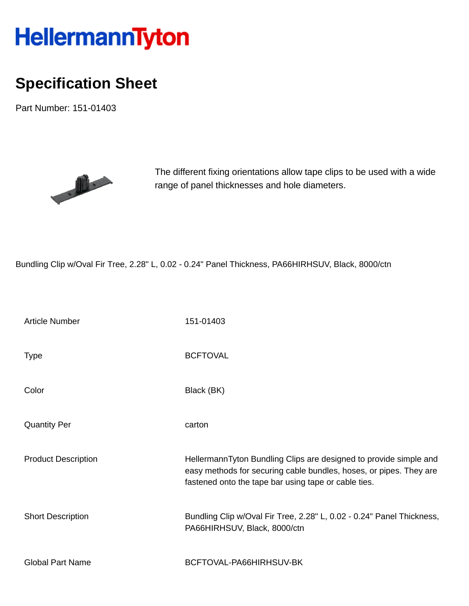## HellermannTyton

## **Specification Sheet**

Part Number: 151-01403



The different fixing orientations allow tape clips to be used with a wide range of panel thicknesses and hole diameters.

Bundling Clip w/Oval Fir Tree, 2.28" L, 0.02 - 0.24" Panel Thickness, PA66HIRHSUV, Black, 8000/ctn

| <b>Article Number</b>      | 151-01403                                                                                                                                                                                       |
|----------------------------|-------------------------------------------------------------------------------------------------------------------------------------------------------------------------------------------------|
| Type                       | <b>BCFTOVAL</b>                                                                                                                                                                                 |
| Color                      | Black (BK)                                                                                                                                                                                      |
| <b>Quantity Per</b>        | carton                                                                                                                                                                                          |
| <b>Product Description</b> | HellermannTyton Bundling Clips are designed to provide simple and<br>easy methods for securing cable bundles, hoses, or pipes. They are<br>fastened onto the tape bar using tape or cable ties. |
| <b>Short Description</b>   | Bundling Clip w/Oval Fir Tree, 2.28" L, 0.02 - 0.24" Panel Thickness,<br>PA66HIRHSUV, Black, 8000/ctn                                                                                           |
| <b>Global Part Name</b>    | BCFTOVAL-PA66HIRHSUV-BK                                                                                                                                                                         |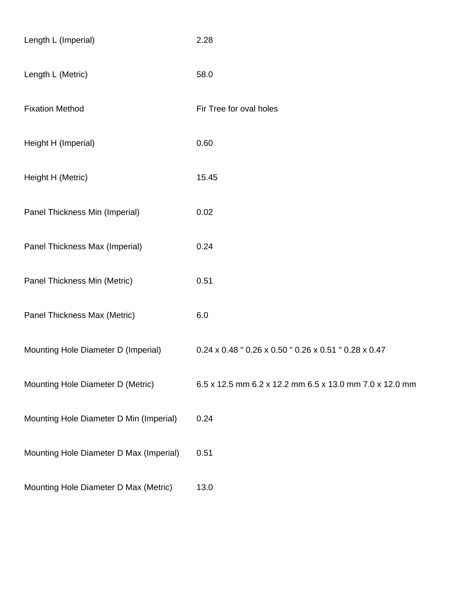| Length L (Imperial)                     | 2.28                                                    |
|-----------------------------------------|---------------------------------------------------------|
| Length L (Metric)                       | 58.0                                                    |
| <b>Fixation Method</b>                  | Fir Tree for oval holes                                 |
| Height H (Imperial)                     | 0.60                                                    |
| Height H (Metric)                       | 15.45                                                   |
| Panel Thickness Min (Imperial)          | 0.02                                                    |
| Panel Thickness Max (Imperial)          | 0.24                                                    |
| Panel Thickness Min (Metric)            | 0.51                                                    |
| Panel Thickness Max (Metric)            | 6.0                                                     |
| Mounting Hole Diameter D (Imperial)     | 0.24 x 0.48 " 0.26 x 0.50 " 0.26 x 0.51 " 0.28 x 0.47   |
| Mounting Hole Diameter D (Metric)       | 6.5 x 12.5 mm 6.2 x 12.2 mm 6.5 x 13.0 mm 7.0 x 12.0 mm |
| Mounting Hole Diameter D Min (Imperial) | 0.24                                                    |
| Mounting Hole Diameter D Max (Imperial) | 0.51                                                    |
| Mounting Hole Diameter D Max (Metric)   | 13.0                                                    |